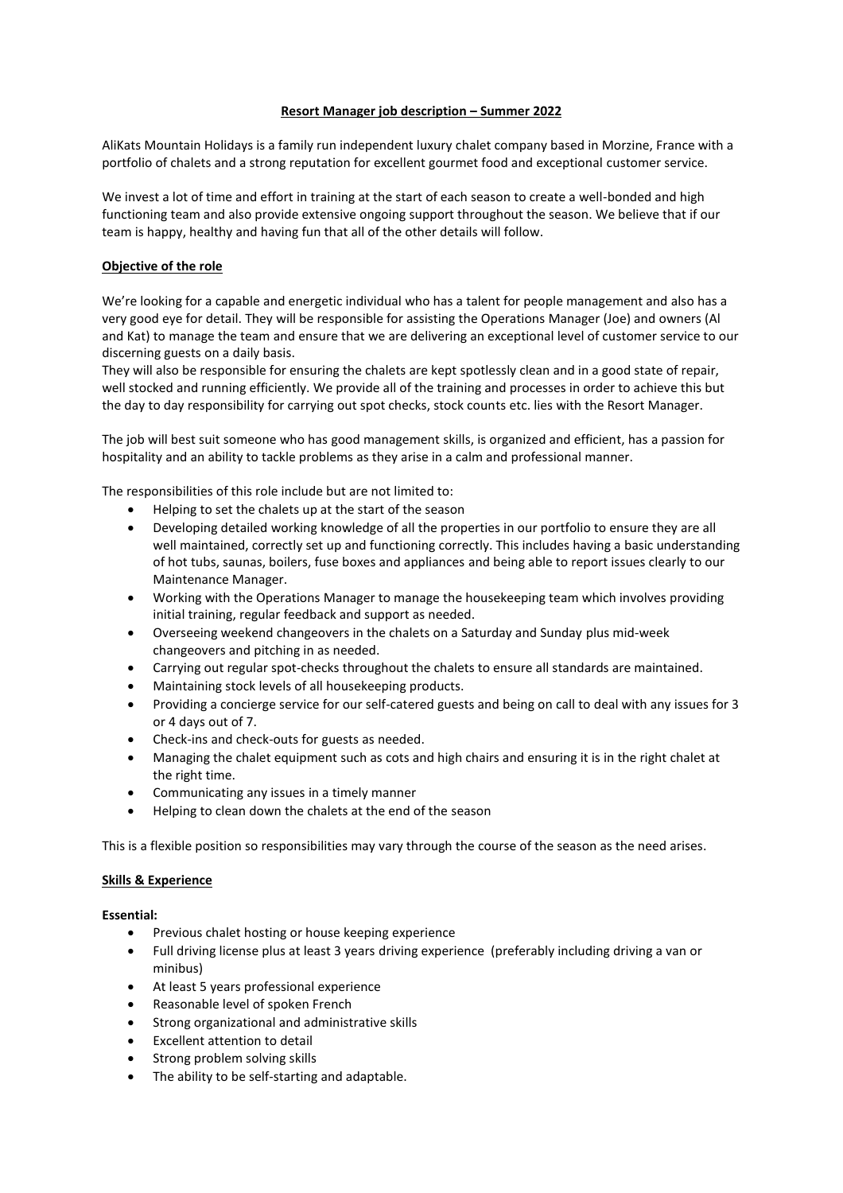## **Resort Manager job description – Summer 2022**

AliKats Mountain Holidays is a family run independent luxury chalet company based in Morzine, France with a portfolio of chalets and a strong reputation for excellent gourmet food and exceptional customer service.

We invest a lot of time and effort in training at the start of each season to create a well-bonded and high functioning team and also provide extensive ongoing support throughout the season. We believe that if our team is happy, healthy and having fun that all of the other details will follow.

# **Objective of the role**

We're looking for a capable and energetic individual who has a talent for people management and also has a very good eye for detail. They will be responsible for assisting the Operations Manager (Joe) and owners (Al and Kat) to manage the team and ensure that we are delivering an exceptional level of customer service to our discerning guests on a daily basis.

They will also be responsible for ensuring the chalets are kept spotlessly clean and in a good state of repair, well stocked and running efficiently. We provide all of the training and processes in order to achieve this but the day to day responsibility for carrying out spot checks, stock counts etc. lies with the Resort Manager.

The job will best suit someone who has good management skills, is organized and efficient, has a passion for hospitality and an ability to tackle problems as they arise in a calm and professional manner.

The responsibilities of this role include but are not limited to:

- Helping to set the chalets up at the start of the season
- Developing detailed working knowledge of all the properties in our portfolio to ensure they are all well maintained, correctly set up and functioning correctly. This includes having a basic understanding of hot tubs, saunas, boilers, fuse boxes and appliances and being able to report issues clearly to our Maintenance Manager.
- Working with the Operations Manager to manage the housekeeping team which involves providing initial training, regular feedback and support as needed.
- Overseeing weekend changeovers in the chalets on a Saturday and Sunday plus mid-week changeovers and pitching in as needed.
- Carrying out regular spot-checks throughout the chalets to ensure all standards are maintained.
- Maintaining stock levels of all housekeeping products.
- Providing a concierge service for our self-catered guests and being on call to deal with any issues for 3 or 4 days out of 7.
- Check-ins and check-outs for guests as needed.
- Managing the chalet equipment such as cots and high chairs and ensuring it is in the right chalet at the right time.
- Communicating any issues in a timely manner
- Helping to clean down the chalets at the end of the season

This is a flexible position so responsibilities may vary through the course of the season as the need arises.

### **Skills & Experience**

### **Essential:**

- Previous chalet hosting or house keeping experience
- Full driving license plus at least 3 years driving experience (preferably including driving a van or minibus)
- At least 5 years professional experience
- Reasonable level of spoken French
- Strong organizational and administrative skills
- Excellent attention to detail
- Strong problem solving skills
- The ability to be self-starting and adaptable.